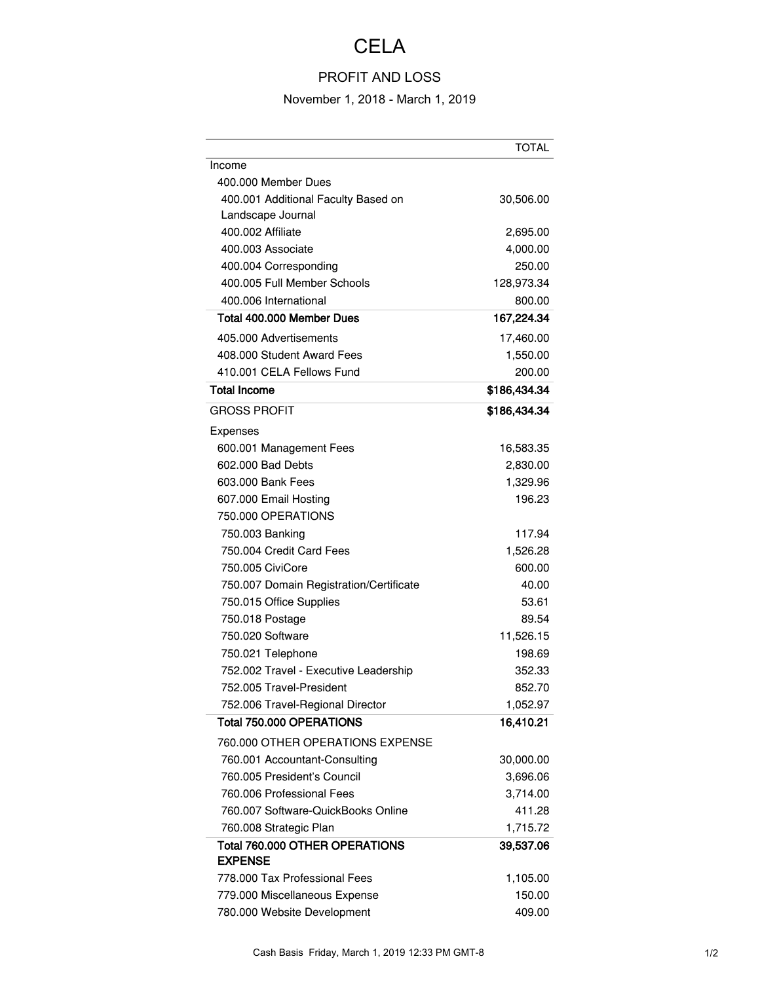## **CELA**

## PROFIT AND LOSS

## November 1, 2018 - March 1, 2019

|                                                  | <b>TOTAL</b> |
|--------------------------------------------------|--------------|
| Income                                           |              |
| 400,000 Member Dues                              |              |
| 400.001 Additional Faculty Based on              | 30,506.00    |
| Landscape Journal                                |              |
| 400.002 Affiliate                                | 2,695.00     |
| 400.003 Associate                                | 4,000.00     |
| 400.004 Corresponding                            | 250.00       |
| 400.005 Full Member Schools                      | 128,973.34   |
| 400.006 International                            | 800.00       |
| Total 400,000 Member Dues                        | 167,224.34   |
| 405.000 Advertisements                           | 17,460.00    |
| 408,000 Student Award Fees                       | 1,550.00     |
| 410.001 CELA Fellows Fund                        | 200.00       |
| <b>Total Income</b>                              | \$186,434.34 |
| <b>GROSS PROFIT</b>                              | \$186,434.34 |
| Expenses                                         |              |
| 600.001 Management Fees                          | 16,583.35    |
| 602,000 Bad Debts                                | 2,830.00     |
| 603,000 Bank Fees                                | 1,329.96     |
| 607.000 Email Hosting                            | 196.23       |
| 750.000 OPERATIONS                               |              |
| 750.003 Banking                                  | 117.94       |
| 750,004 Credit Card Fees                         | 1,526.28     |
| 750.005 CiviCore                                 | 600.00       |
| 750.007 Domain Registration/Certificate          | 40.00        |
| 750.015 Office Supplies                          | 53.61        |
| 750.018 Postage                                  | 89.54        |
| 750.020 Software                                 | 11,526.15    |
| 750.021 Telephone                                | 198.69       |
| 752.002 Travel - Executive Leadership            | 352.33       |
| 752.005 Travel-President                         | 852.70       |
| 752.006 Travel-Regional Director                 | 1,052.97     |
| Total 750.000 OPERATIONS                         | 16,410.21    |
| 760.000 OTHER OPERATIONS EXPENSE                 |              |
| 760.001 Accountant-Consulting                    | 30,000.00    |
| 760.005 President's Council                      | 3,696.06     |
| 760.006 Professional Fees                        | 3,714.00     |
| 760.007 Software-QuickBooks Online               | 411.28       |
| 760.008 Strategic Plan                           | 1,715.72     |
| Total 760,000 OTHER OPERATIONS<br><b>EXPENSE</b> | 39,537.06    |
| 778,000 Tax Professional Fees                    | 1,105.00     |
| 779.000 Miscellaneous Expense                    | 150.00       |
| 780.000 Website Development                      | 409.00       |